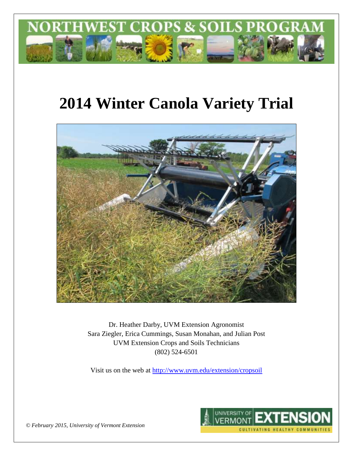

# **2014 Winter Canola Variety Trial**



Dr. Heather Darby, UVM Extension Agronomist Sara Ziegler, Erica Cummings, Susan Monahan, and Julian Post UVM Extension Crops and Soils Technicians (802) 524-6501

Visit us on the web at <http://www.uvm.edu/extension/cropsoil>



*© February 2015, University of Vermont Extension*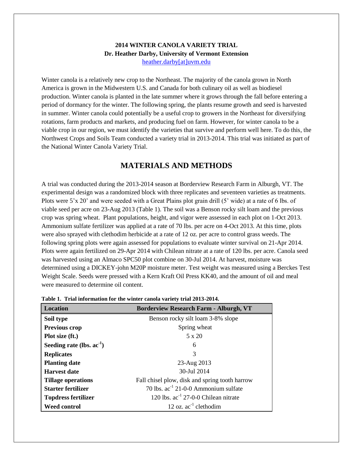#### **2014 WINTER CANOLA VARIETY TRIAL Dr. Heather Darby, University of Vermont Extension** [heather.darby\[at\]uvm.edu](mailto:heather.darby@uvm.edu?subject=2013%20Sunflower%20Reduced%20Tillage%20Trial)

Winter canola is a relatively new crop to the Northeast. The majority of the canola grown in North America is grown in the Midwestern U.S. and Canada for both culinary oil as well as biodiesel production. Winter canola is planted in the late summer where it grows through the fall before entering a period of dormancy for the winter. The following spring, the plants resume growth and seed is harvested in summer. Winter canola could potentially be a useful crop to growers in the Northeast for diversifying rotations, farm products and markets, and producing fuel on farm. However, for winter canola to be a viable crop in our region, we must identify the varieties that survive and perform well here. To do this, the Northwest Crops and Soils Team conducted a variety trial in 2013-2014. This trial was initiated as part of the National Winter Canola Variety Trial.

## **MATERIALS AND METHODS**

A trial was conducted during the 2013-2014 season at Borderview Research Farm in Alburgh, VT. The experimental design was a randomized block with three replicates and seventeen varieties as treatments. Plots were 5'x 20' and were seeded with a Great Plains plot grain drill (5' wide) at a rate of 6 lbs. of viable seed per acre on 23-Aug 2013 (Table 1). The soil was a Benson rocky silt loam and the previous crop was spring wheat. Plant populations, height, and vigor were assessed in each plot on 1-Oct 2013. Ammonium sulfate fertilizer was applied at a rate of 70 lbs. per acre on 4-Oct 2013. At this time, plots were also sprayed with clethodim herbicide at a rate of 12 oz. per acre to control grass weeds. The following spring plots were again assessed for populations to evaluate winter survival on 21-Apr 2014. Plots were again fertilized on 29-Apr 2014 with Chilean nitrate at a rate of 120 lbs. per acre. Canola seed was harvested using an Almaco SPC50 plot combine on 30-Jul 2014. At harvest, moisture was determined using a DICKEY-john M20P moisture meter. Test weight was measured using a Berckes Test Weight Scale. Seeds were pressed with a Kern Kraft Oil Press KK40, and the amount of oil and meal were measured to determine oil content.

| <b>Location</b>                | <b>Borderview Research Farm - Alburgh, VT</b>    |
|--------------------------------|--------------------------------------------------|
| Soil type                      | Benson rocky silt loam 3-8% slope                |
| Previous crop                  | Spring wheat                                     |
| Plot size (ft.)                | $5 \times 20$                                    |
| Seeding rate (lbs. $ac^{-1}$ ) | 6                                                |
| <b>Replicates</b>              | 3                                                |
| <b>Planting date</b>           | 23-Aug 2013                                      |
| <b>Harvest date</b>            | 30-Jul 2014                                      |
| <b>Tillage operations</b>      | Fall chisel plow, disk and spring tooth harrow   |
| Starter fertilizer             | 70 lbs. ac <sup>-1</sup> 21-0-0 Ammonium sulfate |
| <b>Topdress fertilizer</b>     | 120 lbs. ac <sup>-1</sup> 27-0-0 Chilean nitrate |
| <b>Weed control</b>            | 12 oz. $ac^{-1}$ clethodim                       |

**Table 1. Trial information for the winter canola variety trial 2013-2014.**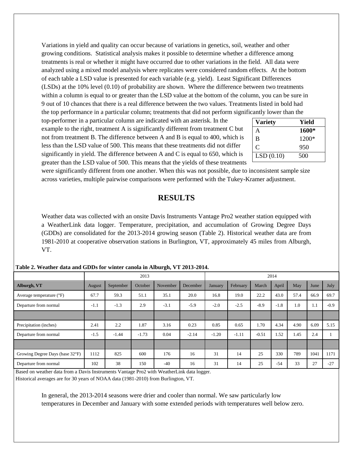Variations in yield and quality can occur because of variations in genetics, soil, weather and other growing conditions. Statistical analysis makes it possible to determine whether a difference among treatments is real or whether it might have occurred due to other variations in the field. All data were analyzed using a mixed model analysis where replicates were considered random effects. At the bottom of each table a LSD value is presented for each variable (e.g. yield). Least Significant Differences (LSDs) at the 10% level (0.10) of probability are shown. Where the difference between two treatments within a column is equal to or greater than the LSD value at the bottom of the column, you can be sure in 9 out of 10 chances that there is a real difference between the two values. Treatments listed in bold had the top performance in a particular column; treatments that did not perform significantly lower than the

top-performer in a particular column are indicated with an asterisk. In the example to the right, treatment A is significantly different from treatment C but not from treatment B. The difference between A and B is equal to 400, which is less than the LSD value of 500. This means that these treatments did not differ significantly in yield. The difference between A and C is equal to 650, which is greater than the LSD value of 500. This means that the yields of these treatments

| <b>Variety</b> | Yield |
|----------------|-------|
| А              | 1600* |
| B              | 1200* |
| C              | 950   |
| LSD(0.10)      | 500   |

were significantly different from one another. When this was not possible, due to inconsistent sample size across varieties, multiple pairwise comparisons were performed with the Tukey-Kramer adjustment.

### **RESULTS**

Weather data was collected with an onsite Davis Instruments Vantage Pro2 weather station equipped with a WeatherLink data logger. Temperature, precipitation, and accumulation of Growing Degree Days (GDDs) are consolidated for the 2013-2014 growing season (Table 2). Historical weather data are from 1981-2010 at cooperative observation stations in Burlington, VT, approximately 45 miles from Alburgh, VT.

|                                   | 2013   |           |         | 2014     |          |                |          |         |        |      |      |        |
|-----------------------------------|--------|-----------|---------|----------|----------|----------------|----------|---------|--------|------|------|--------|
| Alburgh, VT                       | August | September | October | November | December | <b>January</b> | February | March   | April  | May  | June | July   |
| Average temperature $(^{\circ}F)$ | 67.7   | 59.3      | 51.1    | 35.1     | 20.0     | 16.8           | 19.0     | 22.2    | 43.0   | 57.4 | 66.9 | 69.7   |
| Departure from normal             | $-1.1$ | $-1.3$    | 2.9     | $-3.1$   | $-5.9$   | $-2.0$         | $-2.5$   | $-8.9$  | $-1.8$ | 1.0  | 1.1  | $-0.9$ |
|                                   |        |           |         |          |          |                |          |         |        |      |      |        |
| Precipitation (inches)            | 2.41   | 2.2       | 1.87    | 3.16     | 0.23     | 0.85           | 0.65     | 1.70    | 4.34   | 4.90 | 6.09 | 5.15   |
| Departure from normal             | $-1.5$ | $-1.44$   | $-1.73$ | 0.04     | $-2.14$  | $-1.20$        | $-1.11$  | $-0.51$ | 1.52   | 1.45 | 2.4  |        |
|                                   |        |           |         |          |          |                |          |         |        |      |      |        |
| Growing Degree Days (base 32°F)   | 1112   | 825       | 600     | 176      | 16       | 31             | 14       | 25      | 330    | 789  | 1041 | 1171   |
| Departure from normal             | 102    | 38        | 150     | $-40$    | 16       | 31             | 14       | 25      | $-54$  | 33   | 27   | $-27$  |

**Table 2. Weather data and GDDs for winter canola in Alburgh, VT 2013-2014.**

Based on weather data from a Davis Instruments Vantage Pro2 with WeatherLink data logger. Historical averages are for 30 years of NOAA data (1981-2010) from Burlington, VT.

> In general, the 2013-2014 seasons were drier and cooler than normal. We saw particularly low temperatures in December and January with some extended periods with temperatures well below zero.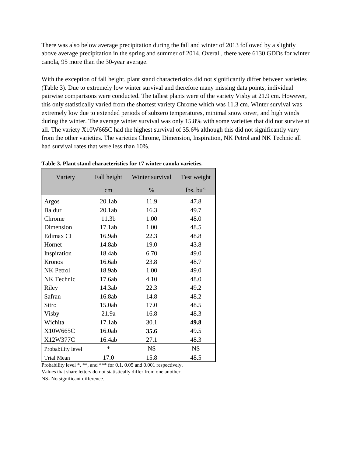There was also below average precipitation during the fall and winter of 2013 followed by a slightly above average precipitation in the spring and summer of 2014. Overall, there were 6130 GDDs for winter canola, 95 more than the 30-year average.

With the exception of fall height, plant stand characteristics did not significantly differ between varieties (Table 3). Due to extremely low winter survival and therefore many missing data points, individual pairwise comparisons were conducted. The tallest plants were of the variety Visby at 21.9 cm. However, this only statistically varied from the shortest variety Chrome which was 11.3 cm. Winter survival was extremely low due to extended periods of subzero temperatures, minimal snow cover, and high winds during the winter. The average winter survival was only 15.8% with some varieties that did not survive at all. The variety X10W665C had the highest survival of 35.6% although this did not significantly vary from the other varieties. The varieties Chrome, Dimension, Inspiration, NK Petrol and NK Technic all had survival rates that were less than 10%.

| Variety           | Fall height | Winter survival | Test weight       |
|-------------------|-------------|-----------------|-------------------|
|                   | cm          | $\%$            | $lbs.$ bu $^{-1}$ |
| Argos             | 20.1ab      | 11.9            | 47.8              |
| <b>Baldur</b>     | 20.1ab      | 16.3            | 49.7              |
| Chrome            | 11.3b       | 1.00            | 48.0              |
| Dimension         | 17.1ab      | 1.00            | 48.5              |
| Edimax CL         | 16.9ab      | 22.3            | 48.8              |
| Hornet            | 14.8ab      | 19.0            | 43.8              |
| Inspiration       | 18.4ab      | 6.70            | 49.0              |
| Kronos            | 16.6ab      | 23.8            | 48.7              |
| NK Petrol         | 18.9ab      | 1.00            | 49.0              |
| NK Technic        | 17.6ab      | 4.10            | 48.0              |
| Riley             | 14.3ab      | 22.3            | 49.2              |
| Safran            | 16.8ab      | 14.8            | 48.2              |
| Sitro             | 15.0ab      | 17.0            | 48.5              |
| Visby             | 21.9a       | 16.8            | 48.3              |
| Wichita           | 17.1ab      | 30.1            | 49.8              |
| X10W665C          | 16.0ab      | 35.6            | 49.5              |
| X12W377C          | 16.4ab      | 27.1            | 48.3              |
| Probability level | $\ast$      | <b>NS</b>       | <b>NS</b>         |
| <b>Trial Mean</b> | 17.0        | 15.8            | 48.5              |

**Table 3. Plant stand characteristics for 17 winter canola varieties.**

Probability level  $*$ ,  $**$ , and  $***$  for 0.1, 0.05 and 0.001 respectively.

Values that share letters do not statistically differ from one another.

NS- No significant difference.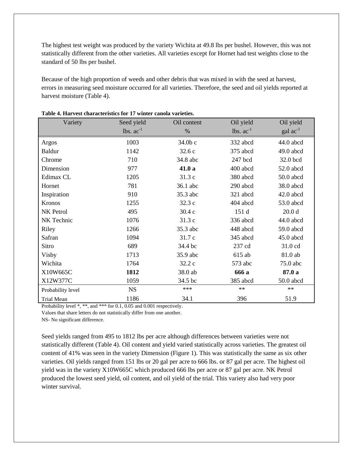The highest test weight was produced by the variety Wichita at 49.8 lbs per bushel. However, this was not statistically different from the other varieties. All varieties except for Hornet had test weights close to the standard of 50 lbs per bushel.

Because of the high proportion of weeds and other debris that was mixed in with the seed at harvest, errors in measuring seed moisture occurred for all varieties. Therefore, the seed and oil yields reported at harvest moisture (Table 4).

| Variety           | Seed yield     | Oil content | Oil yield      | Oil yield            |
|-------------------|----------------|-------------|----------------|----------------------|
|                   | lbs. $ac^{-1}$ | %           | lbs. $ac^{-1}$ | $\text{gal ac}^{-1}$ |
| Argos             | 1003           | 34.0b c     | 332 abcd       | 44.0 abcd            |
| Baldur            | 1142           | 32.6 c      | 375 abcd       | $49.0$ abcd          |
| Chrome            | 710            | 34.8 abc    | 247 bcd        | 32.0 bcd             |
| Dimension         | 977            | 41.0 a      | 400 abcd       | 52.0 abcd            |
| Edimax CL         | 1205           | 31.3 c      | 380 abcd       | 50.0 abcd            |
| Hornet            | 781            | 36.1 abc    | 290 abcd       | 38.0 abcd            |
| Inspiration       | 910            | 35.3 abc    | 321 abcd       | $42.0$ abcd          |
| Kronos            | 1255           | 32.3 c      | 404 abcd       | 53.0 abcd            |
| NK Petrol         | 495            | 30.4 c      | 151 d          | 20.0 <sub>d</sub>    |
| NK Technic        | 1076           | 31.3 c      | 336 abcd       | 44.0 abcd            |
| Riley             | 1266           | 35.3 abc    | 448 abcd       | 59.0 abcd            |
| Safran            | 1094           | 31.7 c      | 345 abcd       | 45.0 abcd            |
| Sitro             | 689            | 34.4 bc     | 237 cd         | 31.0 cd              |
| Visby             | 1713           | 35.9 abc    | 615 ab         | 81.0 ab              |
| Wichita           | 1764           | 32.2 c      | 573 abc        | 75.0 abc             |
| X10W665C          | 1812           | 38.0 ab     | 666 a          | 87.0 a               |
| X12W377C          | 1059           | 34.5 bc     | 385 abcd       | 50.0 abcd            |
| Probability level | <b>NS</b>      | ***         | $**$           | $**$                 |
| Trial Mean        | 1186           | 34.1        | 396            | 51.9                 |

| Table 4. Harvest characteristics for 17 winter canola varieties. |
|------------------------------------------------------------------|
|------------------------------------------------------------------|

Probability level \*, \*\*, and \*\*\* for 0.1, 0.05 and 0.001 respectively.

Values that share letters do not statistically differ from one another.

NS- No significant difference.

Seed yields ranged from 495 to 1812 lbs per acre although differences between varieties were not statistically different (Table 4). Oil content and yield varied statistically across varieties. The greatest oil content of 41% was seen in the variety Dimension (Figure 1). This was statistically the same as six other varieties. Oil yields ranged from 151 lbs or 20 gal per acre to 666 lbs. or 87 gal per acre. The highest oil yield was in the variety X10W665C which produced 666 lbs per acre or 87 gal per acre. NK Petrol produced the lowest seed yield, oil content, and oil yield of the trial. This variety also had very poor winter survival.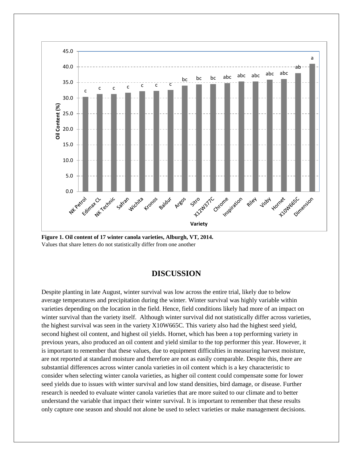

**Figure 1. Oil content of 17 winter canola varieties, Alburgh, VT, 2014.** Values that share letters do not statistically differ from one another

#### **DISCUSSION**

Despite planting in late August, winter survival was low across the entire trial, likely due to below average temperatures and precipitation during the winter. Winter survival was highly variable within varieties depending on the location in the field. Hence, field conditions likely had more of an impact on winter survival than the variety itself. Although winter survival did not statistically differ across varieties, the highest survival was seen in the variety X10W665C. This variety also had the highest seed yield, second highest oil content, and highest oil yields. Hornet, which has been a top performing variety in previous years, also produced an oil content and yield similar to the top performer this year. However, it is important to remember that these values, due to equipment difficulties in measuring harvest moisture, are not reported at standard moisture and therefore are not as easily comparable. Despite this, there are substantial differences across winter canola varieties in oil content which is a key characteristic to consider when selecting winter canola varieties, as higher oil content could compensate some for lower seed yields due to issues with winter survival and low stand densities, bird damage, or disease. Further research is needed to evaluate winter canola varieties that are more suited to our climate and to better understand the variable that impact their winter survival. It is important to remember that these results only capture one season and should not alone be used to select varieties or make management decisions.